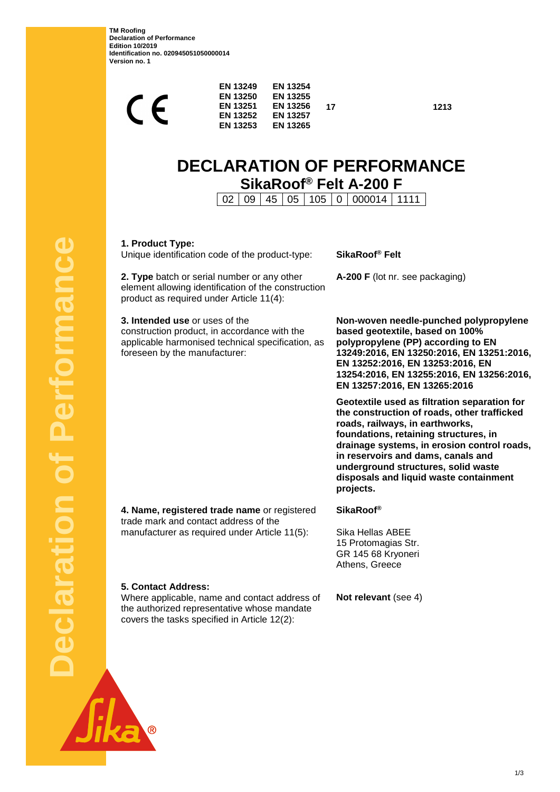**TM Roofing Declaration of Performance Edition 10/2019 Identification no. 020945051050000014 Version no. 1**

| $\blacktriangleright$ | <b>EN 13249</b><br><b>EN 13250</b><br><b>EN 13251</b><br><b>EN 13252</b><br><b>EN 13253</b> | <b>EN 13254</b><br><b>EN 13255</b><br><b>EN 13256</b><br><b>EN 13257</b><br><b>EN 13265</b> | 17 |
|-----------------------|---------------------------------------------------------------------------------------------|---------------------------------------------------------------------------------------------|----|
|                       |                                                                                             |                                                                                             |    |

**17 1213**

# **DECLARATION OF PERFORMANCE SikaRoof® Felt A-200 F**

02 09 45 05 105 0 000014 1111

**1. Product Type:**

Unique identification code of the product-type: **SikaRoof® Felt**

**2. Type** batch or serial number or any other element allowing identification of the construction product as required under Article 11(4):

**3. Intended use** or uses of the construction product, in accordance with the applicable harmonised technical specification, as foreseen by the manufacturer:

**A-200 F** (lot nr. see packaging)

**Non-woven needle-punched polypropylene based geotextile, based on 100% polypropylene (PP) according to EN 13249:2016, EN 13250:2016, EN 13251:2016, EN 13252:2016, EN 13253:2016, EN 13254:2016, EN 13255:2016, EN 13256:2016, EN 13257:2016, EN 13265:2016**

**Geotextile used as filtration separation for the construction of roads, other trafficked roads, railways, in earthworks, foundations, retaining structures, in drainage systems, in erosion control roads, in reservoirs and dams, canals and underground structures, solid waste disposals and liquid waste containment projects.**

**4. Name, registered trade name** or registered trade mark and contact address of the manufacturer as required under Article 11(5):

**SikaRoof®**

Sika Hellas ABEE 15 Protomagias Str. GR 145 68 Kryoneri Athens, Greece

**5. Contact Address:**

Where applicable, name and contact address of the authorized representative whose mandate covers the tasks specified in Article 12(2):

**Not relevant** (see 4)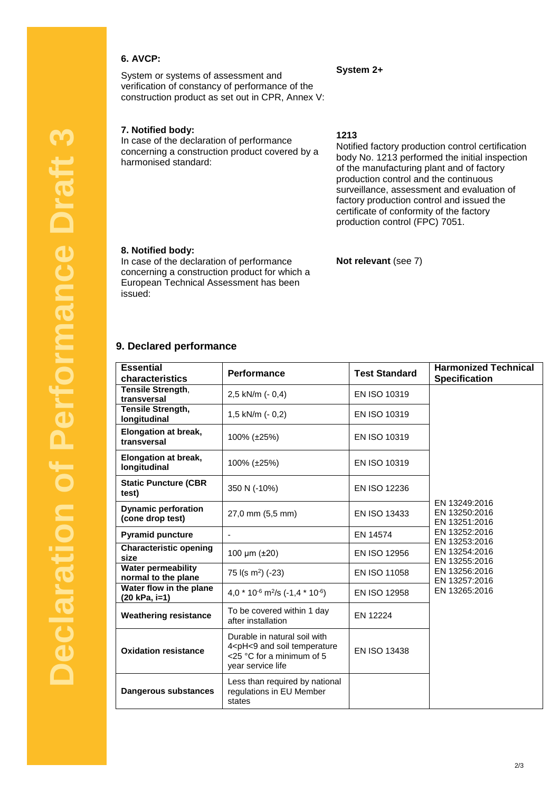## **6. AVCP:**

System or systems of assessment and verification of constancy of performance of the construction product as set out in CPR, Annex V:

## **7. Notified body:**

In case of the declaration of performance concerning a construction product covered by a harmonised standard:

### **1213**

**System 2+**

Notified factory production control certification body No. 1213 performed the initial inspection of the manufacturing plant and of factory production control and the continuous surveillance, assessment and evaluation of factory production control and issued the certificate of conformity of the factory production control (FPC) 7051.

#### **8. Notified body:**

In case of the declaration of performance concerning a construction product for which a European Technical Assessment has been issued:

#### **Not relevant** (see 7)

### **9. Declared performance**

| <b>Essential</b><br>characteristics              | Performance                                                                                                                                     | <b>Test Standard</b> | <b>Harmonized Technical</b><br><b>Specification</b> |
|--------------------------------------------------|-------------------------------------------------------------------------------------------------------------------------------------------------|----------------------|-----------------------------------------------------|
| Tensile Strength,<br>transversal                 | 2,5 kN/m (- 0,4)                                                                                                                                | EN ISO 10319         |                                                     |
| <b>Tensile Strength,</b><br>longitudinal         | 1,5 kN/m $(-0,2)$                                                                                                                               | EN ISO 10319         |                                                     |
| Elongation at break,<br>transversal              | 100% (±25%)                                                                                                                                     | EN ISO 10319         | EN 13249:2016<br>EN 13250:2016<br>EN 13251:2016     |
| Elongation at break,<br>longitudinal             | 100% (±25%)                                                                                                                                     | EN ISO 10319         |                                                     |
| <b>Static Puncture (CBR</b><br>test)             | 350 N (-10%)                                                                                                                                    | <b>EN ISO 12236</b>  |                                                     |
| <b>Dynamic perforation</b><br>(cone drop test)   | 27,0 mm (5,5 mm)                                                                                                                                | <b>EN ISO 13433</b>  |                                                     |
| <b>Pyramid puncture</b>                          |                                                                                                                                                 | EN 14574             | EN 13252:2016<br>EN 13253:2016                      |
| Characteristic opening<br>size                   | 100 $\mu$ m ( $\pm$ 20)                                                                                                                         | EN ISO 12956         | EN 13254:2016<br>EN 13255:2016                      |
| <b>Water permeability</b><br>normal to the plane | 75 $I(s \, m^2)$ (-23)                                                                                                                          | EN ISO 11058         | EN 13256:2016<br>EN 13257:2016                      |
| Water flow in the plane<br>(20 kPa, i=1)         | 4,0 $*$ 10 <sup>-6</sup> m <sup>2</sup> /s (-1,4 $*$ 10 <sup>-6</sup> )                                                                         | EN ISO 12958         | EN 13265:2016                                       |
| <b>Weathering resistance</b>                     | To be covered within 1 day<br>after installation                                                                                                | EN 12224             |                                                     |
| <b>Oxidation resistance</b>                      | Durable in natural soil with<br>4 <ph<9 and="" soil="" temperature<br=""><math>&lt;</math>25 °C for a minimum of 5<br/>year service life</ph<9> | EN ISO 13438         |                                                     |
| Dangerous substances                             | Less than required by national<br>regulations in EU Member<br>states                                                                            |                      |                                                     |